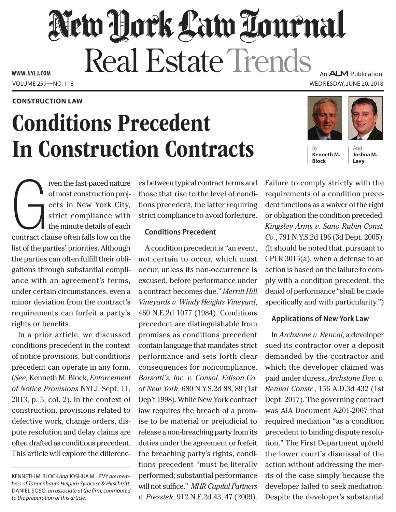# New Hork Law Tournal Real Estate Trends

Volume 259—NO. 118 Wednesday, June 20, 2018 **www. NYLJ.com**

#### **Construction Law**

## Conditions Precedent In Construction Contracts

An **ALM** Publication





And **Joshua M. Levy**

G<br>Contract cl iven the fast-paced nature of most construction projects in New York City, strict compliance with the minute details of each contract clause often falls low on the list of the parties' priorities. Although the parties can often fulfill their obligations through substantial compliance with an agreement's terms, under certain circumstances, even a minor deviation from the contract's requirements can forfeit a party's rights or benefits.

In a prior article, we discussed conditions precedent in the context of notice provisions, but conditions precedent can operate in any form. (*See,* Kenneth M. Block, *Enforcement of Notice Provisions* NYLJ, Sept. 11, 2013, p. 5, col. 2). In the context of construction, provisions related to defective work, change orders, dispute resolution and delay claims are often drafted as conditions precedent. This article will explore the differences between typical contract terms and those that rise to the level of conditions precedent, the latter requiring strict compliance to avoid forfeiture.

#### **Conditions Precedent**

A condition precedent is "an event, not certain to occur, which must occur, unless its non-occurrence is excused, before performance under a contract becomes due." *Merritt Hill Vineyards v. Windy Heights Vineyard*, 460 N.E.2d 1077 (1984). Conditions precedent are distinguishable from promises as conditions precedent contain language that mandates strict performance and sets forth clear consequences for noncompliance. *Barsotti's, Inc. v. Consol. Edison Co. of New York*, 680 N.Y.S.2d 88, 89 (1st Dep't 1998). While New York contract law requires the breach of a promise to be material or prejudicial to release a non-breaching party from its duties under the agreement or forfeit the breaching party's rights, conditions precedent "must be literally performed; substantial performance will not suffice." *MHR Capital Partners v. Presstek*, 912 N.E.2d 43, 47 (2009).

Failure to comply strictly with the requirements of a condition precedent functions as a waiver of the right or obligation the condition preceded. *Kingsley Arms v. Sano Rubin Const. Co.*, 791 N.Y.S.2d 196 (3d Dept. 2005). (It should be noted that, pursuant to CPLR 3015(a), when a defense to an action is based on the failure to comply with a condition precedent, the denial of performance "shall be made specifically and with particularity.")

### **Applications of New York Law**

In *Archstone v. Renval*, a developer sued its contractor over a deposit demanded by the contractor and which the developer claimed was paid under duress. *Archstone Dev. v. Renval Constr.*, 156 A.D.3d 432 (1st Dept. 2017). The governing contract was AIA Document A201-2007 that required mediation "as a condition precedent to binding dispute resolution." The First Department upheld the lower court's dismissal of the action without addressing the merits of the case simply because the developer failed to seek mediation. Despite the developer's substantial

Kenneth M. Block *and* Joshua M. Levy *are members of Tannenbaum Helpern Syracuse & Hirschtritt.*  Daniel Soso*, an associate at the firm, contributed to the preparation of this article.*